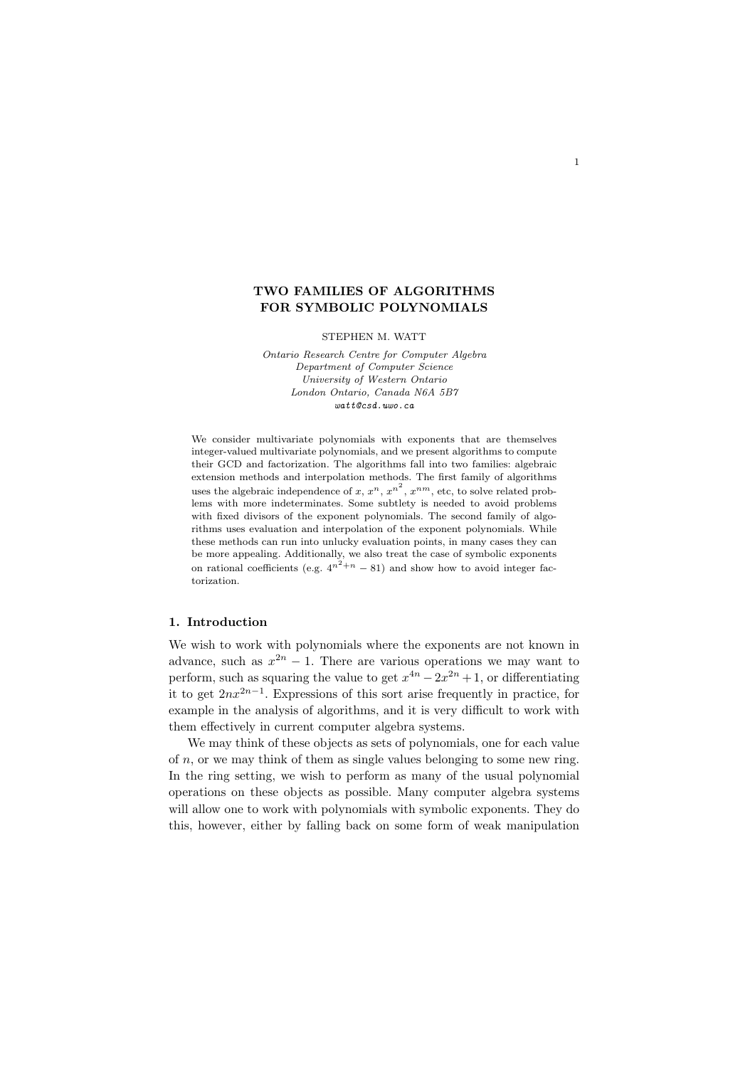## TWO FAMILIES OF ALGORITHMS FOR SYMBOLIC POLYNOMIALS

STEPHEN M. WATT

Ontario Research Centre for Computer Algebra Department of Computer Science University of Western Ontario London Ontario, Canada N6A 5B7 watt@csd.uwo.ca

We consider multivariate polynomials with exponents that are themselves integer-valued multivariate polynomials, and we present algorithms to compute their GCD and factorization. The algorithms fall into two families: algebraic extension methods and interpolation methods. The first family of algorithms uses the algebraic independence of x,  $x^n$ ,  $x^{n^2}$ ,  $x^{nm}$ , etc, to solve related problems with more indeterminates. Some subtlety is needed to avoid problems with fixed divisors of the exponent polynomials. The second family of algorithms uses evaluation and interpolation of the exponent polynomials. While these methods can run into unlucky evaluation points, in many cases they can be more appealing. Additionally, we also treat the case of symbolic exponents on rational coefficients (e.g.  $4^{n^2+n} - 81$ ) and show how to avoid integer factorization.

### 1. Introduction

We wish to work with polynomials where the exponents are not known in advance, such as  $x^{2n} - 1$ . There are various operations we may want to perform, such as squaring the value to get  $x^{4n} - 2x^{2n} + 1$ , or differentiating it to get  $2nx^{2n-1}$ . Expressions of this sort arise frequently in practice, for example in the analysis of algorithms, and it is very difficult to work with them effectively in current computer algebra systems.

We may think of these objects as sets of polynomials, one for each value of  $n$ , or we may think of them as single values belonging to some new ring. In the ring setting, we wish to perform as many of the usual polynomial operations on these objects as possible. Many computer algebra systems will allow one to work with polynomials with symbolic exponents. They do this, however, either by falling back on some form of weak manipulation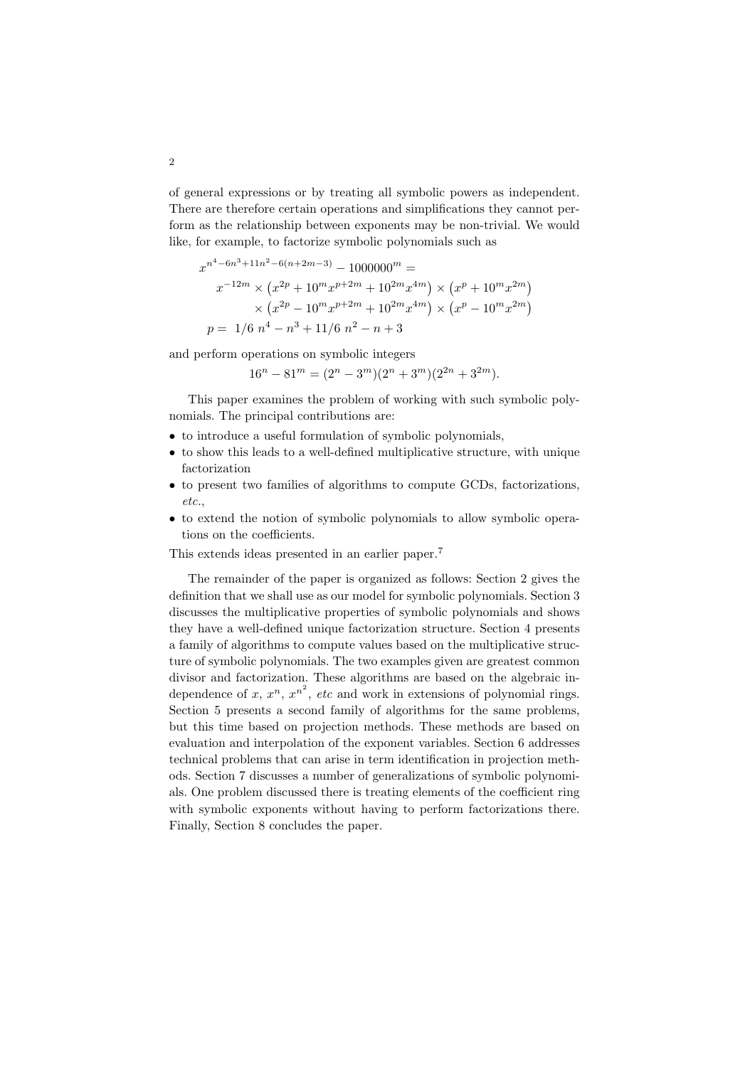of general expressions or by treating all symbolic powers as independent. There are therefore certain operations and simplifications they cannot perform as the relationship between exponents may be non-trivial. We would like, for example, to factorize symbolic polynomials such as

$$
x^{n^{4}-6n^{3}+11n^{2}-6(n+2m-3)} - 1000000^{m} =
$$
  

$$
x^{-12m} \times (x^{2p} + 10^{m}x^{p+2m} + 10^{2m}x^{4m}) \times (x^{p} + 10^{m}x^{2m})
$$
  

$$
\times (x^{2p} - 10^{m}x^{p+2m} + 10^{2m}x^{4m}) \times (x^{p} - 10^{m}x^{2m})
$$
  

$$
p = 1/6 n^{4} - n^{3} + 11/6 n^{2} - n + 3
$$

and perform operations on symbolic integers

$$
16^{n} - 81^{m} = (2^{n} - 3^{m})(2^{n} + 3^{m})(2^{2n} + 3^{2m}).
$$

This paper examines the problem of working with such symbolic polynomials. The principal contributions are:

- to introduce a useful formulation of symbolic polynomials,
- to show this leads to a well-defined multiplicative structure, with unique factorization
- to present two families of algorithms to compute GCDs, factorizations, etc.,
- to extend the notion of symbolic polynomials to allow symbolic operations on the coefficients.

This extends ideas presented in an earlier paper.<sup>7</sup>

The remainder of the paper is organized as follows: Section 2 gives the definition that we shall use as our model for symbolic polynomials. Section 3 discusses the multiplicative properties of symbolic polynomials and shows they have a well-defined unique factorization structure. Section 4 presents a family of algorithms to compute values based on the multiplicative structure of symbolic polynomials. The two examples given are greatest common divisor and factorization. These algorithms are based on the algebraic independence of x,  $x^n$ ,  $x^{n^2}$ , etc and work in extensions of polynomial rings. Section 5 presents a second family of algorithms for the same problems, but this time based on projection methods. These methods are based on evaluation and interpolation of the exponent variables. Section 6 addresses technical problems that can arise in term identification in projection methods. Section 7 discusses a number of generalizations of symbolic polynomials. One problem discussed there is treating elements of the coefficient ring with symbolic exponents without having to perform factorizations there. Finally, Section 8 concludes the paper.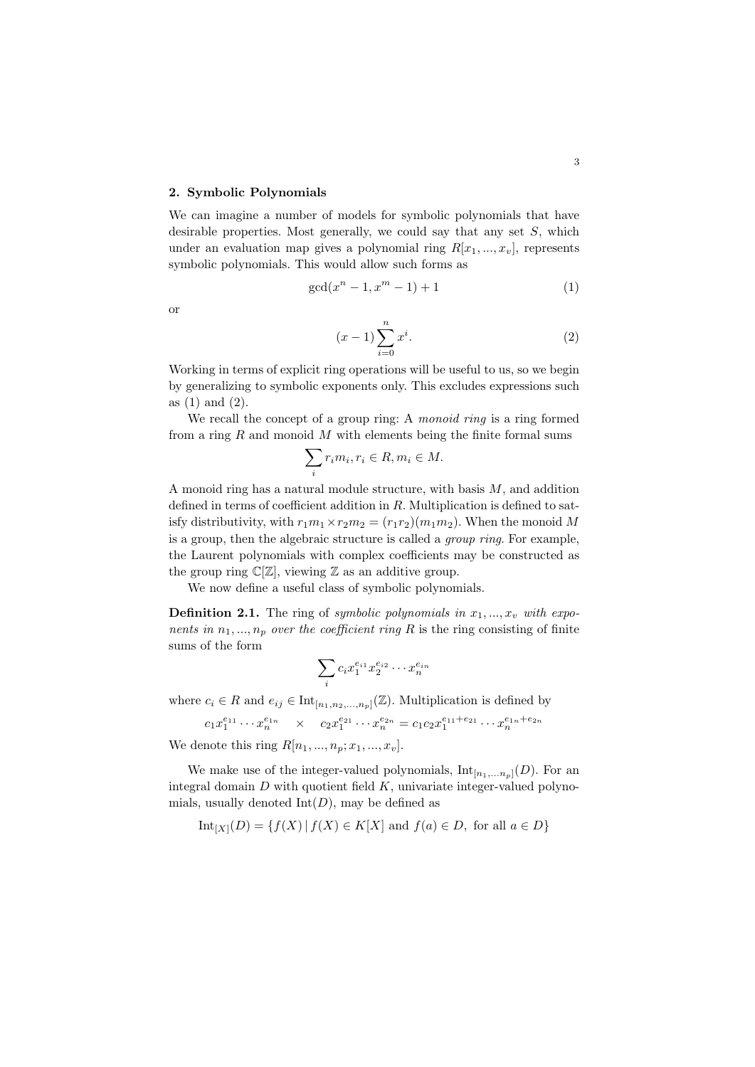#### 2. Symbolic Polynomials

We can imagine a number of models for symbolic polynomials that have desirable properties. Most generally, we could say that any set  $S$ , which under an evaluation map gives a polynomial ring  $R[x_1, ..., x_v]$ , represents symbolic polynomials. This would allow such forms as

$$
\gcd(x^n - 1, x^m - 1) + 1\tag{1}
$$

or

$$
(x-1)\sum_{i=0}^{n} x^{i}.
$$
 (2)

Working in terms of explicit ring operations will be useful to us, so we begin by generalizing to symbolic exponents only. This excludes expressions such as (1) and (2).

We recall the concept of a group ring: A *monoid ring* is a ring formed from a ring  $R$  and monoid  $M$  with elements being the finite formal sums

$$
\sum_{i} r_i m_i, r_i \in R, m_i \in M.
$$

A monoid ring has a natural module structure, with basis  $M$ , and addition defined in terms of coefficient addition in  $R$ . Multiplication is defined to satisfy distributivity, with  $r_1m_1\times r_2m_2 = (r_1r_2)(m_1m_2)$ . When the monoid M is a group, then the algebraic structure is called a group ring. For example, the Laurent polynomials with complex coefficients may be constructed as the group ring  $\mathbb{C}[\mathbb{Z}]$ , viewing  $\mathbb Z$  as an additive group.

We now define a useful class of symbolic polynomials.

**Definition 2.1.** The ring of symbolic polynomials in  $x_1, ..., x_v$  with exponents in  $n_1, ..., n_p$  over the coefficient ring R is the ring consisting of finite sums of the form

$$
\sum_i c_i x_1^{e_{i1}} x_2^{e_{i2}} \cdots x_n^{e_{in}}
$$

where  $c_i \in R$  and  $e_{ij} \in \text{Int}_{[n_1,n_2,...,n_p]}(\mathbb{Z})$ . Multiplication is defined by

$$
c_1 x_1^{e_{11}} \cdots x_n^{e_{1n}} \times c_2 x_1^{e_{21}} \cdots x_n^{e_{2n}} = c_1 c_2 x_1^{e_{11} + e_{21}} \cdots x_n^{e_{1n} + e_{2n}}
$$

We denote this ring  $R[n_1, ..., n_p; x_1, ..., x_v]$ .

We make use of the integer-valued polynomials,  $Int_{[n_1,...,n_n]}(D)$ . For an integral domain  $D$  with quotient field  $K$ , univariate integer-valued polynomials, usually denoted  $Int(D)$ , may be defined as

$$
Int_{[X]}(D) = \{ f(X) | f(X) \in K[X] \text{ and } f(a) \in D, \text{ for all } a \in D \}
$$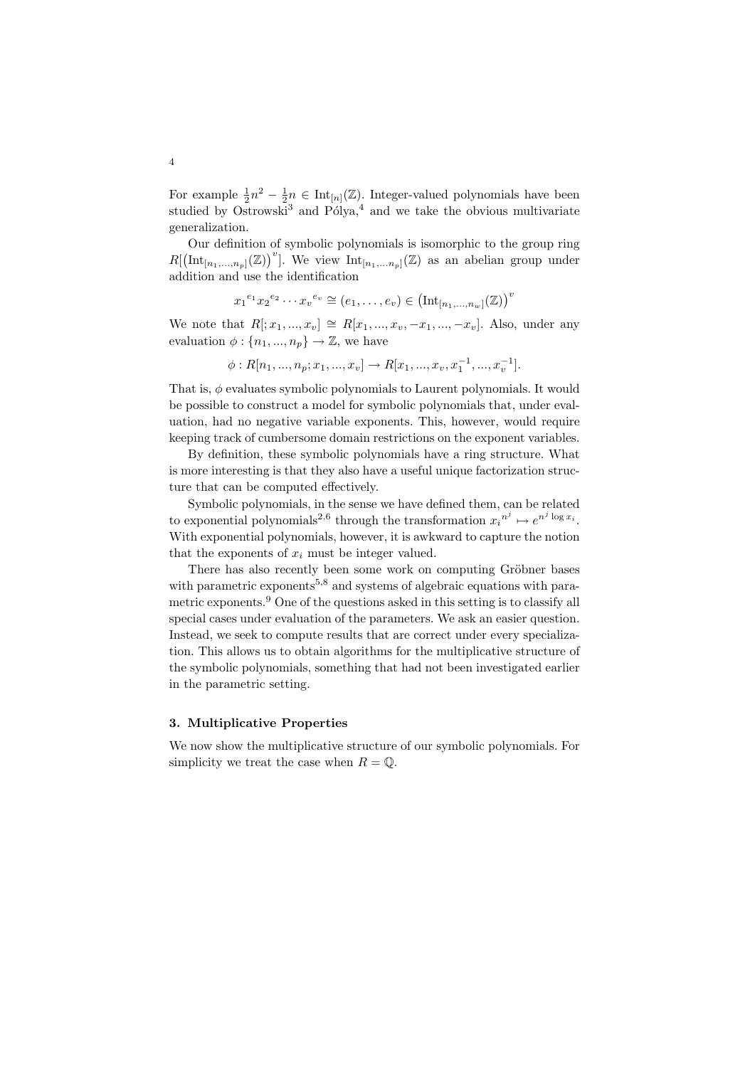For example  $\frac{1}{2}n^2 - \frac{1}{2}n \in \text{Int}_{[n]}(\mathbb{Z})$ . Integer-valued polynomials have been studied by  $Ostrowski<sup>3</sup>$  and  $Pólya<sup>4</sup>$  and we take the obvious multivariate generalization.

Our definition of symbolic polynomials is isomorphic to the group ring  $R[(\text{Int}_{[n_1,...,n_p]}(\mathbb{Z}))^v]$ . We view  $\text{Int}_{[n_1,...n_p]}(\mathbb{Z})$  as an abelian group under addition and use the identification

$$
x_1^{e_1}x_2^{e_2}\cdots x_v^{e_v} \cong (e_1,\ldots,e_v) \in (\text{Int}_{[n_1,\ldots,n_w]}(\mathbb{Z}))^v
$$

We note that  $R[:, x_1, ..., x_v] \cong R[x_1, ..., x_v, -x_1, ..., -x_v]$ . Also, under any evaluation  $\phi: \{n_1, ..., n_p\} \to \mathbb{Z}$ , we have

$$
\phi: R[n_1, ..., n_p; x_1, ..., x_v] \to R[x_1, ..., x_v, x_1^{-1}, ..., x_v^{-1}].
$$

That is,  $\phi$  evaluates symbolic polynomials to Laurent polynomials. It would be possible to construct a model for symbolic polynomials that, under evaluation, had no negative variable exponents. This, however, would require keeping track of cumbersome domain restrictions on the exponent variables.

By definition, these symbolic polynomials have a ring structure. What is more interesting is that they also have a useful unique factorization structure that can be computed effectively.

Symbolic polynomials, in the sense we have defined them, can be related to exponential polynomials<sup>2,6</sup> through the transformation  $x_i^{n^j} \mapsto e^{n^j \log x_i}$ . With exponential polynomials, however, it is awkward to capture the notion that the exponents of  $x_i$  must be integer valued.

There has also recently been some work on computing Gröbner bases with parametric exponents<sup>5,8</sup> and systems of algebraic equations with parametric exponents.<sup>9</sup> One of the questions asked in this setting is to classify all special cases under evaluation of the parameters. We ask an easier question. Instead, we seek to compute results that are correct under every specialization. This allows us to obtain algorithms for the multiplicative structure of the symbolic polynomials, something that had not been investigated earlier in the parametric setting.

### 3. Multiplicative Properties

We now show the multiplicative structure of our symbolic polynomials. For simplicity we treat the case when  $R = \mathbb{Q}$ .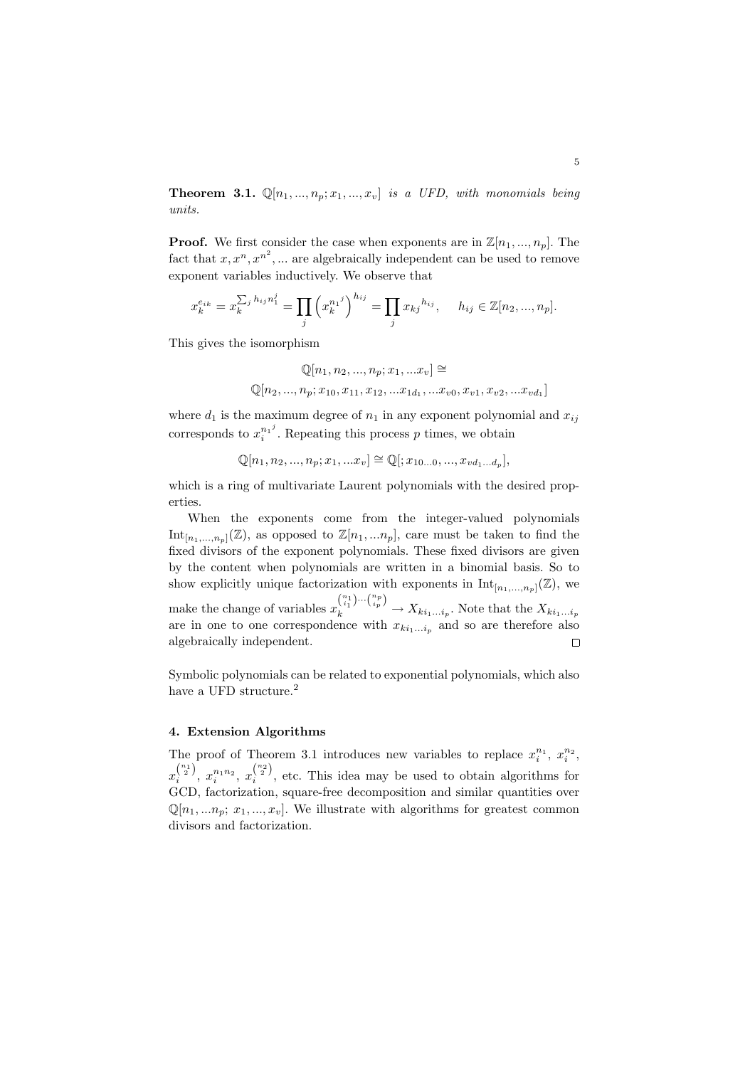**Theorem 3.1.**  $\mathbb{Q}[n_1, ..., n_p; x_1, ..., x_v]$  is a UFD, with monomials being units.

**Proof.** We first consider the case when exponents are in  $\mathbb{Z}[n_1, ..., n_p]$ . The fact that  $x, x^n, x^{n^2}, \dots$  are algebraically independent can be used to remove exponent variables inductively. We observe that

$$
x_k^{e_{ik}} = x_k^{\sum_j h_{ij}n_1^j} = \prod_j \left(x_k^{n_1^j}\right)^{h_{ij}} = \prod_j x_{kj}^{h_{ij}}, \quad h_{ij} \in \mathbb{Z}[n_2, ..., n_p].
$$

This gives the isomorphism

$$
\mathbb{Q}[n_1, n_2, ..., n_p; x_1, ...x_v] \cong
$$
  

$$
\mathbb{Q}[n_2, ..., n_p; x_{10}, x_{11}, x_{12}, ...x_{1d_1}, ...x_{v0}, x_{v1}, x_{v2}, ...x_{vd_1}]
$$

where  $d_1$  is the maximum degree of  $n_1$  in any exponent polynomial and  $x_{ij}$ corresponds to  $x_i^{n_1}$  $i^{n_1}$ . Repeating this process p times, we obtain

$$
\mathbb{Q}[n_1, n_2, ..., n_p; x_1, ... x_v] \cong \mathbb{Q}[; x_{10...0}, ..., x_{vd_1...d_p}],
$$

which is a ring of multivariate Laurent polynomials with the desired properties.

When the exponents come from the integer-valued polynomials Int<sub>[n<sub>1,...,n<sub>n</sub>]</sub>( $\mathbb{Z}$ ), as opposed to  $\mathbb{Z}[n_1,...n_p]$ , care must be taken to find the</sub> fixed divisors of the exponent polynomials. These fixed divisors are given by the content when polynomials are written in a binomial basis. So to show explicitly unique factorization with exponents in  $Int_{[n_1,...,n_n]}(\mathbb{Z})$ , we make the change of variables  $x_k^{(n_1) \cdots (n_p)} \to X_{ki_1...i_p}$ . Note that the  $X_{ki_1...i_p}$ are in one to one correspondence with  $x_{ki_1...i_p}$  and so are therefore also algebraically independent.  $\Box$ 

Symbolic polynomials can be related to exponential polynomials, which also have a UFD structure.<sup>2</sup>

### 4. Extension Algorithms

The proof of Theorem 3.1 introduces new variables to replace  $x_i^{n_1}, x_i^{n_2}$ ,  $x_i^{(\frac{n_1}{2})}$ ,  $x_i^{n_1n_2}$ ,  $x_i^{(\frac{n_2}{2})}$ , etc. This idea may be used to obtain algorithms for GCD, factorization, square-free decomposition and similar quantities over  $\mathbb{Q}[n_1, ..., n_p; x_1, ..., x_v]$ . We illustrate with algorithms for greatest common divisors and factorization.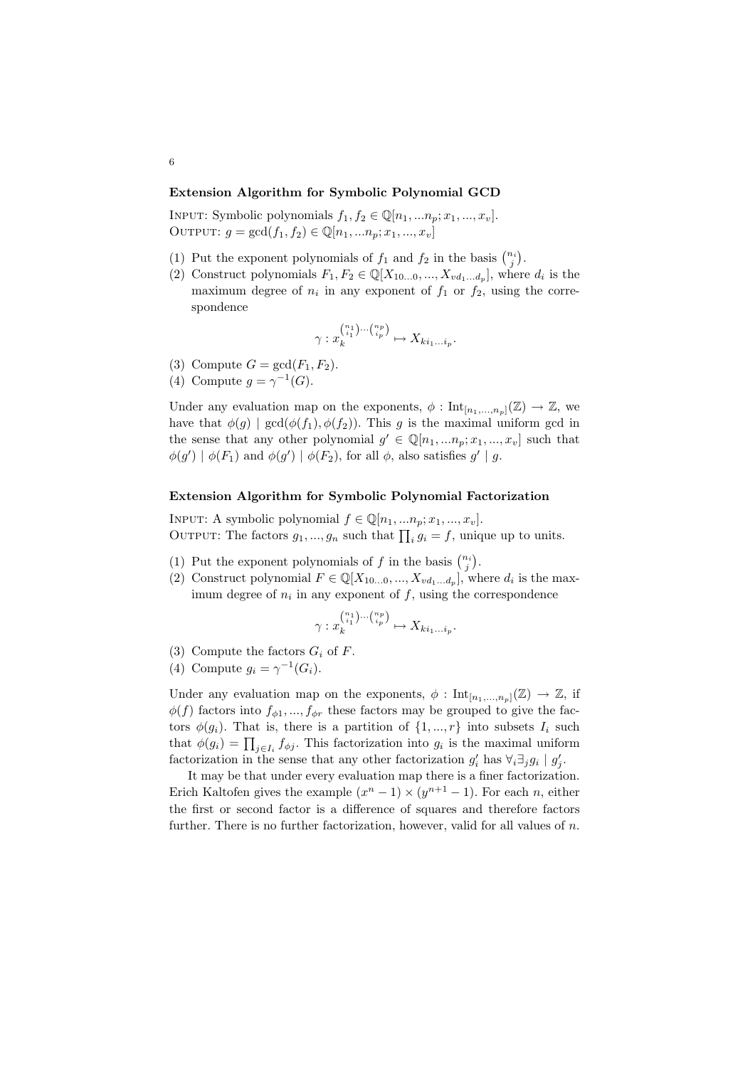#### Extension Algorithm for Symbolic Polynomial GCD

INPUT: Symbolic polynomials  $f_1, f_2 \in \mathbb{Q}[n_1, ..., n_p; x_1, ..., x_v]$ . OUTPUT:  $q = \gcd(f_1, f_2) \in \mathbb{Q}[n_1, ..., n_n; x_1, ..., x_n]$ 

- (1) Put the exponent polynomials of  $f_1$  and  $f_2$  in the basis  $\binom{n_i}{j}$ .
- (2) Construct polynomials  $F_1, F_2 \in \mathbb{Q}[X_{10...0},...,X_{vd_1...d_p}],$  where  $d_i$  is the maximum degree of  $n_i$  in any exponent of  $f_1$  or  $f_2$ , using the correspondence

$$
\gamma: x_k^{n_1 \choose i_1} \cdots {n_p \choose i_p} \mapsto X_{ki_1...i_p}.
$$

- (3) Compute  $G = \gcd(F_1, F_2)$ .
- (4) Compute  $g = \gamma^{-1}(G)$ .

Under any evaluation map on the exponents,  $\phi: \text{Int}_{[n_1,...,n_p]}(\mathbb{Z}) \to \mathbb{Z}$ , we have that  $\phi(g) \mid \gcd(\phi(f_1), \phi(f_2))$ . This g is the maximal uniform gcd in the sense that any other polynomial  $g' \in \mathbb{Q}[n_1, ..., n_p; x_1, ..., x_v]$  such that  $\phi(g') | \phi(F_1)$  and  $\phi(g') | \phi(F_2)$ , for all  $\phi$ , also satisfies  $g' | g$ .

### Extension Algorithm for Symbolic Polynomial Factorization

INPUT: A symbolic polynomial  $f \in \mathbb{Q}[n_1, ..., n_p; x_1, ..., x_v]$ . OUTPUT: The factors  $g_1, ..., g_n$  such that  $\prod_i g_i = f$ , unique up to units.

- (1) Put the exponent polynomials of f in the basis  $\binom{n_i}{j}$ .
- (2) Construct polynomial  $F \in \mathbb{Q}[X_{10...0},...,X_{vd_1...d_p}],$  where  $d_i$  is the maximum degree of  $n_i$  in any exponent of  $f$ , using the correspondence

$$
\gamma: x_k^{n_1 \choose i_1} \cdots {n_p \choose i_p} \mapsto X_{ki_1...i_p}.
$$

- (3) Compute the factors  $G_i$  of F.
- (4) Compute  $g_i = \gamma^{-1}(G_i)$ .

Under any evaluation map on the exponents,  $\phi: \text{Int}_{[n_1,...,n_p]}(\mathbb{Z}) \to \mathbb{Z}$ , if  $\phi(f)$  factors into  $f_{\phi 1},..., f_{\phi r}$  these factors may be grouped to give the factors  $\phi(g_i)$ . That is, there is a partition of  $\{1, ..., r\}$  into subsets  $I_i$  such that  $\phi(g_i) = \prod_{j \in I_i} f_{\phi_j}$ . This factorization into  $g_i$  is the maximal uniform factorization in the sense that any other factorization  $g'_i$  has  $\forall_i \exists_j g_i | g'_j$ .

It may be that under every evaluation map there is a finer factorization. Erich Kaltofen gives the example  $(x^{n}-1) \times (y^{n+1}-1)$ . For each *n*, either the first or second factor is a difference of squares and therefore factors further. There is no further factorization, however, valid for all values of  $n$ .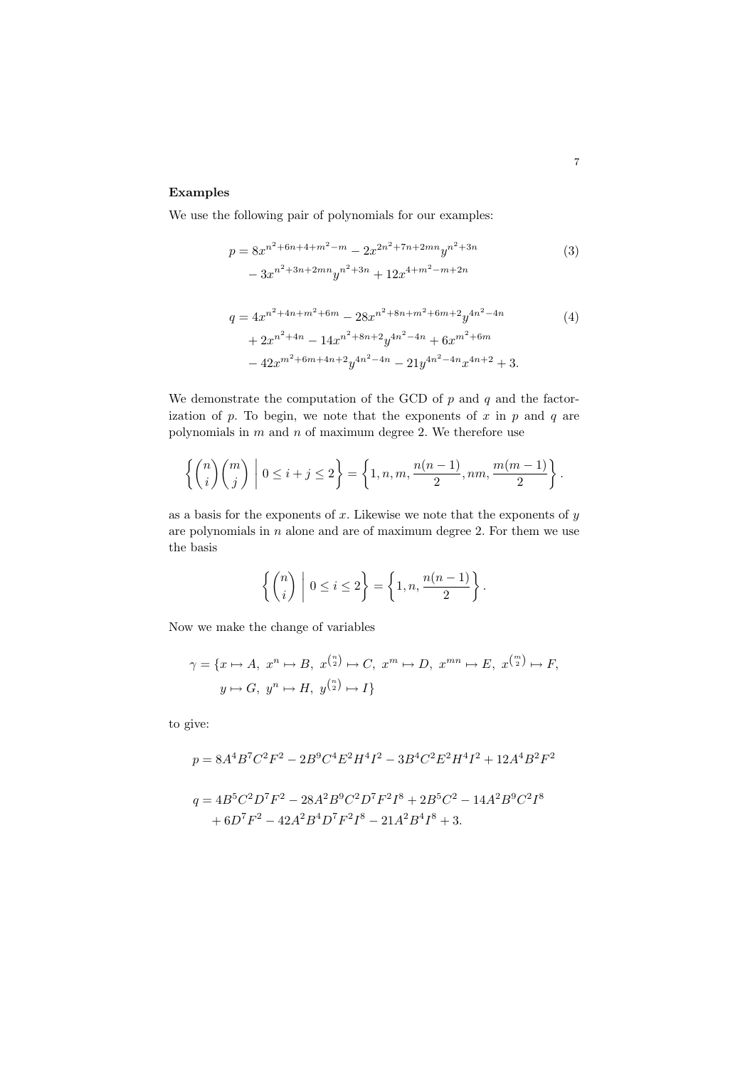## Examples

We use the following pair of polynomials for our examples:

$$
p = 8x^{n^{2} + 6n + 4 + m^{2} - m} - 2x^{2n^{2} + 7n + 2mn}y^{n^{2} + 3n}
$$
\n
$$
-3x^{n^{2} + 3n + 2mn}y^{n^{2} + 3n} + 12x^{4 + m^{2} - m + 2n}
$$
\n(3)

$$
q = 4x^{n^{2} + 4n + m^{2} + 6m} - 28x^{n^{2} + 8n + m^{2} + 6m + 2}y^{4n^{2} - 4n}
$$
\n
$$
+ 2x^{n^{2} + 4n} - 14x^{n^{2} + 8n + 2}y^{4n^{2} - 4n} + 6x^{m^{2} + 6m}
$$
\n
$$
- 42x^{m^{2} + 6m + 4n + 2}y^{4n^{2} - 4n} - 21y^{4n^{2} - 4n}x^{4n + 2} + 3.
$$
\n(4)

We demonstrate the computation of the GCD of  $p$  and  $q$  and the factorization of  $p$ . To begin, we note that the exponents of  $x$  in  $p$  and  $q$  are polynomials in  $m$  and  $n$  of maximum degree 2. We therefore use

$$
\left\{ \binom{n}{i} \binom{m}{j} \; \middle| \; 0 \leq i+j \leq 2 \right\} = \left\{ 1, n, m, \frac{n(n-1)}{2}, nm, \frac{m(m-1)}{2} \right\}.
$$

as a basis for the exponents of x. Likewise we note that the exponents of  $y$ are polynomials in  $n$  alone and are of maximum degree 2. For them we use the basis

$$
\left\{ \binom{n}{i} \mid 0 \leq i \leq 2 \right\} = \left\{ 1, n, \frac{n(n-1)}{2} \right\}.
$$

Now we make the change of variables

$$
\gamma = \{x \mapsto A, \ x^n \mapsto B, \ x^{\binom{n}{2}} \mapsto C, \ x^m \mapsto D, \ x^{mn} \mapsto E, \ x^{\binom{m}{2}} \mapsto F,
$$
  

$$
y \mapsto G, \ y^n \mapsto H, \ y^{\binom{n}{2}} \mapsto I\}
$$

to give:

$$
p = 8A4B7C2F2 - 2B9C4E2H4I2 - 3B4C2E2H4I2 + 12A4B2F2
$$
  

$$
q = 4B5C2D7F2 - 28A2B9C2D7F2I8 + 2B5C2 - 14A2B9C2I8
$$
  

$$
+ 6D7F2 - 42A2B4D7F2I8 - 21A2B4I8 + 3.
$$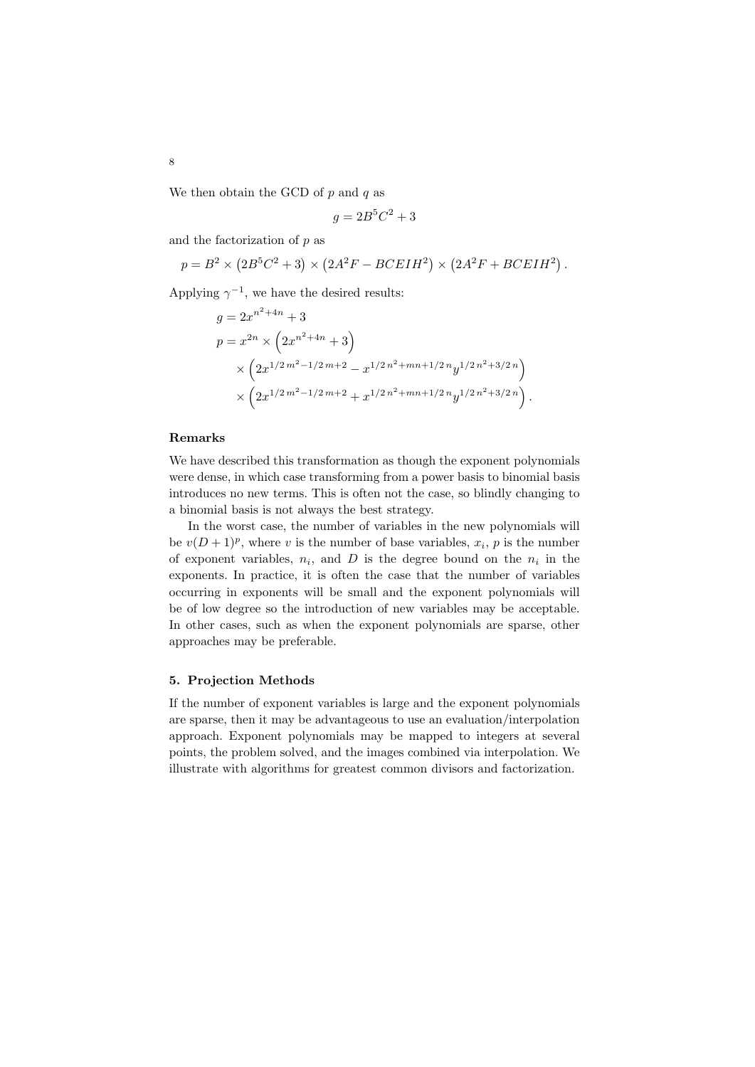We then obtain the GCD of  $p$  and  $q$  as

$$
g = 2B^5C^2 + 3
$$

and the factorization of  $p$  as

$$
p = B^2 \times \left(2B^5C^2 + 3\right) \times \left(2A^2F - BCEIH^2\right) \times \left(2A^2F + BCEIH^2\right).
$$

Applying  $\gamma^{-1}$ , we have the desired results:

$$
g = 2x^{n^2+4n} + 3
$$
  
\n
$$
p = x^{2n} \times \left(2x^{n^2+4n} + 3\right)
$$
  
\n
$$
\times \left(2x^{1/2 m^2 - 1/2 m + 2} - x^{1/2 n^2 + mn + 1/2 n} y^{1/2 n^2 + 3/2 n}\right)
$$
  
\n
$$
\times \left(2x^{1/2 m^2 - 1/2 m + 2} + x^{1/2 n^2 + mn + 1/2 n} y^{1/2 n^2 + 3/2 n}\right).
$$

# Remarks

We have described this transformation as though the exponent polynomials were dense, in which case transforming from a power basis to binomial basis introduces no new terms. This is often not the case, so blindly changing to a binomial basis is not always the best strategy.

In the worst case, the number of variables in the new polynomials will be  $v(D+1)^p$ , where v is the number of base variables,  $x_i$ , p is the number of exponent variables,  $n_i$ , and D is the degree bound on the  $n_i$  in the exponents. In practice, it is often the case that the number of variables occurring in exponents will be small and the exponent polynomials will be of low degree so the introduction of new variables may be acceptable. In other cases, such as when the exponent polynomials are sparse, other approaches may be preferable.

### 5. Projection Methods

If the number of exponent variables is large and the exponent polynomials are sparse, then it may be advantageous to use an evaluation/interpolation approach. Exponent polynomials may be mapped to integers at several points, the problem solved, and the images combined via interpolation. We illustrate with algorithms for greatest common divisors and factorization.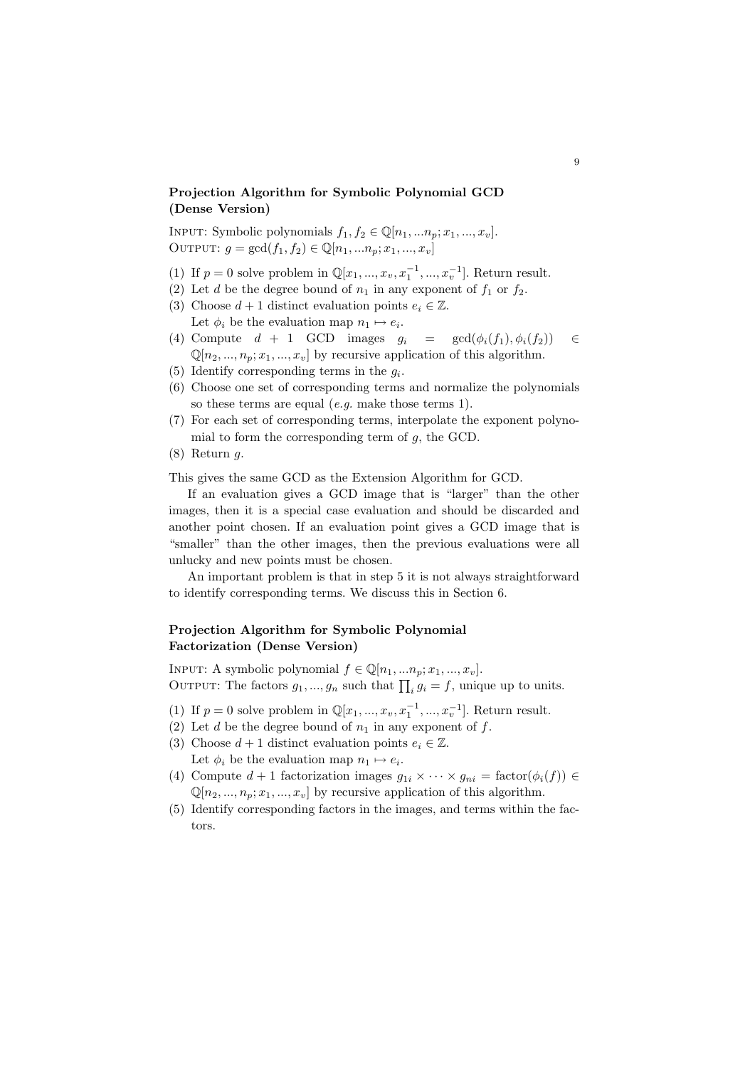# Projection Algorithm for Symbolic Polynomial GCD (Dense Version)

INPUT: Symbolic polynomials  $f_1, f_2 \in \mathbb{Q}[n_1, ..., n_p; x_1, ..., x_v].$ OUTPUT:  $g = \gcd(f_1, f_2) \in \mathbb{Q}[n_1, ..., n_p; x_1, ..., x_v]$ 

- (1) If  $p = 0$  solve problem in  $\mathbb{Q}[x_1, ..., x_v, x_1^{-1}, ..., x_v^{-1}]$ . Return result.
- (2) Let d be the degree bound of  $n_1$  in any exponent of  $f_1$  or  $f_2$ .
- (3) Choose  $d+1$  distinct evaluation points  $e_i \in \mathbb{Z}$ . Let  $\phi_i$  be the evaluation map  $n_1 \mapsto e_i$ .
- (4) Compute  $d + 1$  GCD images  $g_i = \gcd(\phi_i(f_1), \phi_i(f_2)) \in$  $\mathbb{Q}[n_2, ..., n_p; x_1, ..., x_v]$  by recursive application of this algorithm.
- (5) Identify corresponding terms in the  $g_i$ .
- (6) Choose one set of corresponding terms and normalize the polynomials so these terms are equal  $(e.g.$  make those terms 1).
- (7) For each set of corresponding terms, interpolate the exponent polynomial to form the corresponding term of  $q$ , the GCD.
- (8) Return g.

This gives the same GCD as the Extension Algorithm for GCD.

If an evaluation gives a GCD image that is "larger" than the other images, then it is a special case evaluation and should be discarded and another point chosen. If an evaluation point gives a GCD image that is "smaller" than the other images, then the previous evaluations were all unlucky and new points must be chosen.

An important problem is that in step 5 it is not always straightforward to identify corresponding terms. We discuss this in Section 6.

# Projection Algorithm for Symbolic Polynomial Factorization (Dense Version)

INPUT: A symbolic polynomial  $f \in \mathbb{Q}[n_1, ..., n_p; x_1, ..., x_v]$ . OUTPUT: The factors  $g_1, ..., g_n$  such that  $\prod_i g_i = f$ , unique up to units.

- (1) If  $p = 0$  solve problem in  $\mathbb{Q}[x_1, ..., x_v, x_1^{-1}, ..., x_v^{-1}]$ . Return result.
- (2) Let d be the degree bound of  $n_1$  in any exponent of f.
- (3) Choose  $d+1$  distinct evaluation points  $e_i \in \mathbb{Z}$ . Let  $\phi_i$  be the evaluation map  $n_1 \mapsto e_i$ .
- (4) Compute  $d+1$  factorization images  $g_{1i} \times \cdots \times g_{ni} = \text{factor}(\phi_i(f)) \in$  $\mathbb{Q}[n_2, ..., n_n; x_1, ..., x_n]$  by recursive application of this algorithm.
- (5) Identify corresponding factors in the images, and terms within the factors.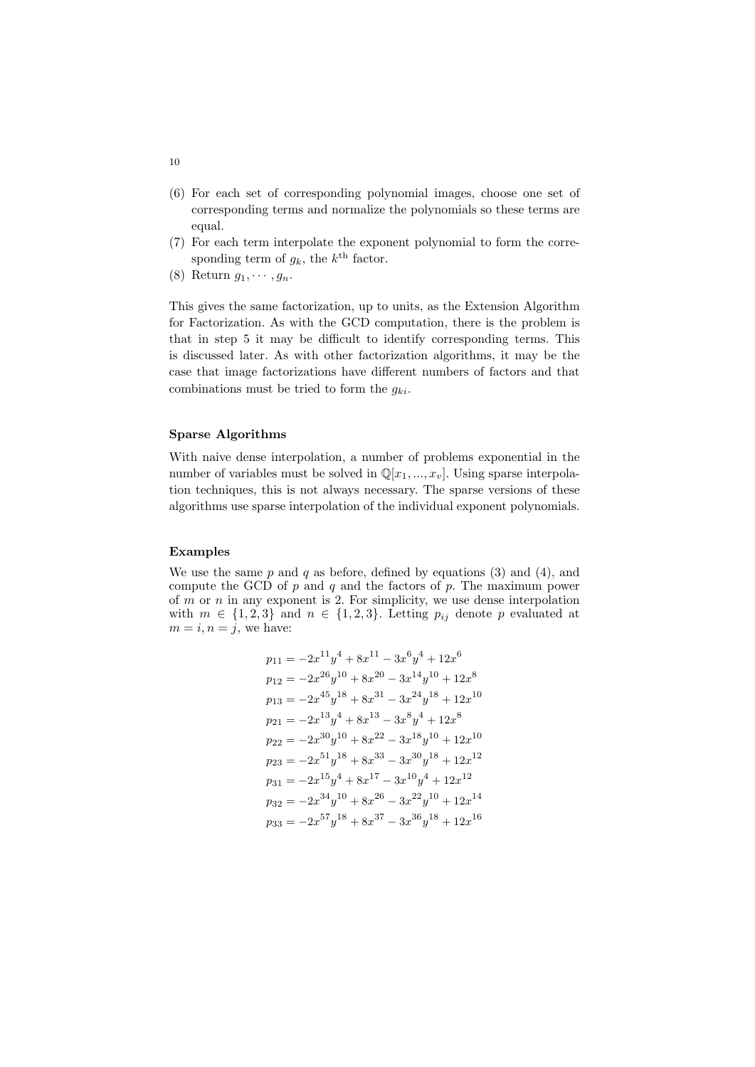- (6) For each set of corresponding polynomial images, choose one set of corresponding terms and normalize the polynomials so these terms are equal.
- (7) For each term interpolate the exponent polynomial to form the corresponding term of  $g_k$ , the  $k^{\text{th}}$  factor.
- (8) Return  $g_1, \cdots, g_n$ .

This gives the same factorization, up to units, as the Extension Algorithm for Factorization. As with the GCD computation, there is the problem is that in step 5 it may be difficult to identify corresponding terms. This is discussed later. As with other factorization algorithms, it may be the case that image factorizations have different numbers of factors and that combinations must be tried to form the  $g_{ki}$ .

### Sparse Algorithms

With naive dense interpolation, a number of problems exponential in the number of variables must be solved in  $\mathbb{Q}[x_1, ..., x_v]$ . Using sparse interpolation techniques, this is not always necessary. The sparse versions of these algorithms use sparse interpolation of the individual exponent polynomials.

# Examples

We use the same  $p$  and  $q$  as before, defined by equations (3) and (4), and compute the GCD of  $p$  and  $q$  and the factors of  $p$ . The maximum power of  $m$  or  $n$  in any exponent is 2. For simplicity, we use dense interpolation with  $m \in \{1,2,3\}$  and  $n \in \{1,2,3\}$ . Letting  $p_{ij}$  denote p evaluated at  $m = i, n = j$ , we have:

$$
\begin{aligned} p_{11} &= -2x^{11}y^4 + 8x^{11} - 3x^6y^4 + 12x^6 \\ p_{12} &= -2x^{26}y^{10} + 8x^{20} - 3x^{14}y^{10} + 12x^8 \\ p_{13} &= -2x^{45}y^{18} + 8x^{31} - 3x^{24}y^{18} + 12x^{10} \\ p_{21} &= -2x^{13}y^4 + 8x^{13} - 3x^8y^4 + 12x^8 \\ p_{22} &= -2x^{30}y^{10} + 8x^{22} - 3x^{18}y^{10} + 12x^{10} \\ p_{23} &= -2x^{51}y^{18} + 8x^{33} - 3x^{30}y^{18} + 12x^{12} \\ p_{31} &= -2x^{15}y^4 + 8x^{17} - 3x^{10}y^4 + 12x^{12} \\ p_{32} &= -2x^{34}y^{10} + 8x^{26} - 3x^{22}y^{10} + 12x^{14} \\ p_{33} &= -2x^{57}y^{18} + 8x^{37} - 3x^{36}y^{18} + 12x^{16} \end{aligned}
$$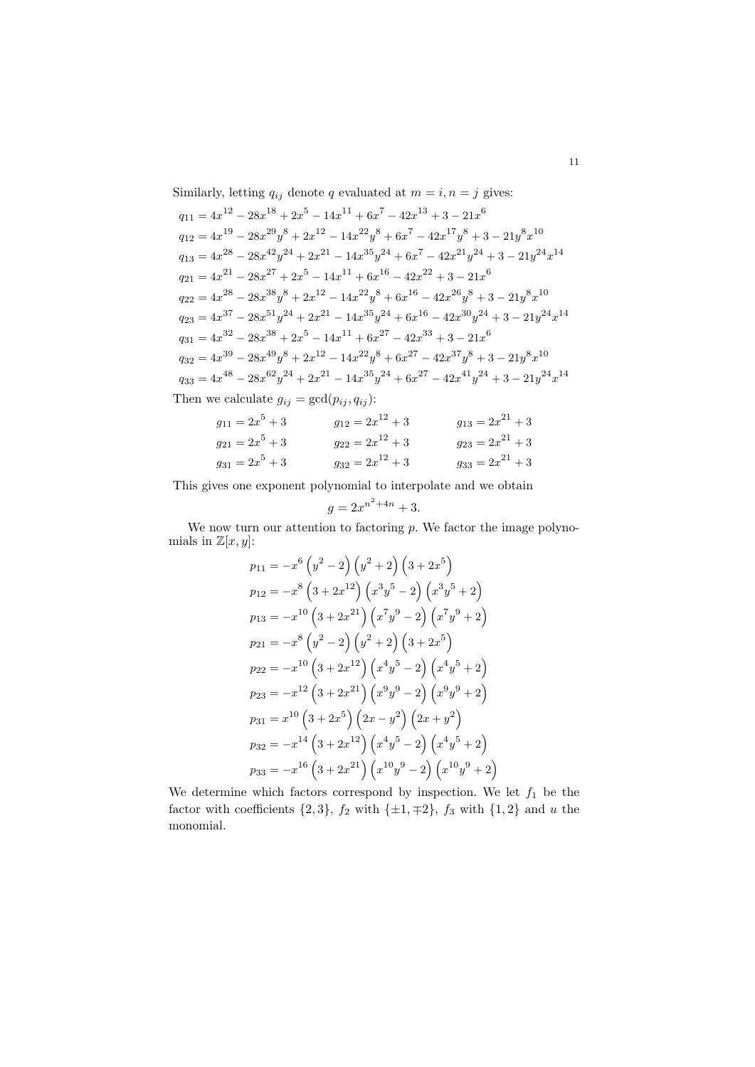Similarly, letting  $q_{ij}$  denote q evaluated at  $m = i, n = j$  gives:

$$
q_{11} = 4x^{12} - 28x^{18} + 2x^5 - 14x^{11} + 6x^7 - 42x^{13} + 3 - 21x^6
$$
  
\n
$$
q_{12} = 4x^{19} - 28x^{29}y^8 + 2x^{12} - 14x^{22}y^8 + 6x^7 - 42x^{17}y^8 + 3 - 21y^8x^{10}
$$
  
\n
$$
q_{13} = 4x^{28} - 28x^{42}y^{24} + 2x^{21} - 14x^{35}y^{24} + 6x^7 - 42x^{21}y^{24} + 3 - 21y^{24}x^{14}
$$
  
\n
$$
q_{21} = 4x^{21} - 28x^{27} + 2x^5 - 14x^{11} + 6x^{16} - 42x^{22} + 3 - 21x^6
$$
  
\n
$$
q_{22} = 4x^{28} - 28x^{38}y^8 + 2x^{12} - 14x^{22}y^8 + 6x^{16} - 42x^{26}y^8 + 3 - 21y^8x^{10}
$$
  
\n
$$
q_{23} = 4x^{37} - 28x^{51}y^{24} + 2x^{21} - 14x^{35}y^{24} + 6x^{16} - 42x^{30}y^{24} + 3 - 21y^{24}x^{14}
$$
  
\n
$$
q_{31} = 4x^{32} - 28x^{38} + 2x^5 - 14x^{11} + 6x^{27} - 42x^{33} + 3 - 21x^6
$$
  
\n
$$
q_{32} = 4x^{39} - 28x^{49}y^8 + 2x^{12} - 14x^{22}y^8 + 6x^{27} - 42x^{37}y^8 + 3 - 21y^8x^{10}
$$
  
\n
$$
q_{33} = 4x^{48} - 28x^{62}y^{24} + 2x^{21} - 14x^{35}y^{24} + 6x^{27} - 42x^{41}
$$

| $g_{11} = 2x^5 + 3$ | $g_{12} = 2x^{12} + 3$ | $g_{13} = 2x^{21} + 3$ |
|---------------------|------------------------|------------------------|
| $g_{21} = 2x^5 + 3$ | $g_{22} = 2x^{12} + 3$ | $g_{23} = 2x^{21} + 3$ |
| $g_{31} = 2x^5 + 3$ | $g_{32} = 2x^{12} + 3$ | $g_{33} = 2x^{21} + 3$ |

This gives one exponent polynomial to interpolate and we obtain

$$
g = 2x^{n^2 + 4n} + 3.
$$

We now turn our attention to factoring  $p$ . We factor the image polynomials in  $\mathbb{Z}[x, y]$ :

$$
p_{11} = -x^{6} (y^{2} - 2) (y^{2} + 2) (3 + 2x^{5})
$$
  
\n
$$
p_{12} = -x^{8} (3 + 2x^{12}) (x^{3}y^{5} - 2) (x^{3}y^{5} + 2)
$$
  
\n
$$
p_{13} = -x^{10} (3 + 2x^{21}) (x^{7}y^{9} - 2) (x^{7}y^{9} + 2)
$$
  
\n
$$
p_{21} = -x^{8} (y^{2} - 2) (y^{2} + 2) (3 + 2x^{5})
$$
  
\n
$$
p_{22} = -x^{10} (3 + 2x^{12}) (x^{4}y^{5} - 2) (x^{4}y^{5} + 2)
$$
  
\n
$$
p_{23} = -x^{12} (3 + 2x^{21}) (x^{9}y^{9} - 2) (x^{9}y^{9} + 2)
$$
  
\n
$$
p_{31} = x^{10} (3 + 2x^{5}) (2x - y^{2}) (2x + y^{2})
$$
  
\n
$$
p_{32} = -x^{14} (3 + 2x^{12}) (x^{4}y^{5} - 2) (x^{4}y^{5} + 2)
$$
  
\n
$$
p_{33} = -x^{16} (3 + 2x^{21}) (x^{10}y^{9} - 2) (x^{10}y^{9} + 2)
$$

We determine which factors correspond by inspection. We let  $f_1$  be the factor with coefficients  $\{2, 3\}$ ,  $f_2$  with  $\{\pm 1, \mp 2\}$ ,  $f_3$  with  $\{1, 2\}$  and u the monomial.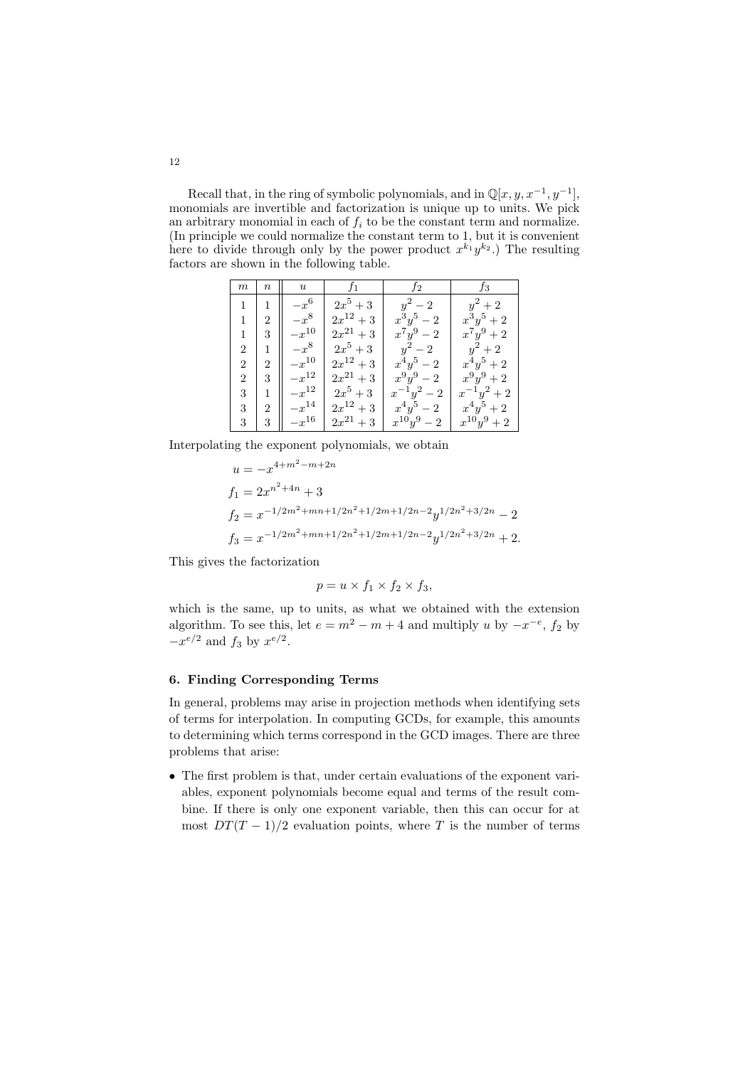Recall that, in the ring of symbolic polynomials, and in  $\mathbb{Q}[x, y, x^{-1}, y^{-1}]$ , monomials are invertible and factorization is unique up to units. We pick an arbitrary monomial in each of  $f_i$  to be the constant term and normalize. (In principle we could normalize the constant term to 1, but it is convenient here to divide through only by the power product  $x^{k_1}y^{k_2}$ . The resulting factors are shown in the following table.

| $_{m}$         | $\it n$        | $\boldsymbol{u}$ |                       | J2                                                                              | JЗ                                     |
|----------------|----------------|------------------|-----------------------|---------------------------------------------------------------------------------|----------------------------------------|
| 1              | 1              | $-x^6$           | $2x^5+3$              | $\begin{array}{r} y^2-2\\ x^3y^5-2\\ x^7y^9-2\\ y^2-2\\ x^4y^5-2\\ \end{array}$ | $\frac{y^2}{x^3}$<br>$+2$              |
| 1              | $\overline{2}$ | $-x^8$           | $2x^{12}+3$           |                                                                                 | $y^5$<br>$+2$                          |
| 1              | 3              | $-x^{10}$        | $2x^{21} + 3$         |                                                                                 | $x^{7}y^{9}+2$<br>$y^{2}+2$            |
| $\overline{2}$ | 1              | $-x^8$           | $2x^5+3$              |                                                                                 |                                        |
| $\overline{2}$ | $\overline{2}$ | $-x^{10}$        | $2x^{12}+3$           |                                                                                 | $x^4y^5+2$                             |
| $\overline{2}$ | 3              | $-x^{12}$        | $2x^{21}+3$           | $x^9y^9-2$                                                                      | $x^9y^9+2$<br>$x^{-1}y^2+$             |
| 3              | 1              | $-x^{12}$        | $2x^5+3$              | $x^{-1}y^2$<br>$-2$                                                             | $+\,2$                                 |
| 3              | $\overline{2}$ | $-x^{14}$        | $2x^{12}+3$           | $x^4y^5 - 2$                                                                    | $+2$                                   |
| 3              | 3              | $-x^{16}$        | $2x^{21}$ .<br>$+\;3$ | $x^{10}y^9$<br>$-2$                                                             | $\frac{x^4y^5}{x^{10}y^9}$ -<br>$+\,2$ |

Interpolating the exponent polynomials, we obtain

$$
u = -x^{4+m^2-m+2n}
$$
  
\n
$$
f_1 = 2x^{n^2+4n} + 3
$$
  
\n
$$
f_2 = x^{-1/2m^2+mn+1/2n^2+1/2m+1/2n-2}y^{1/2n^2+3/2n} - 2
$$
  
\n
$$
f_3 = x^{-1/2m^2+mn+1/2n^2+1/2m+1/2n-2}y^{1/2n^2+3/2n} + 2.
$$

This gives the factorization

$$
p = u \times f_1 \times f_2 \times f_3,
$$

which is the same, up to units, as what we obtained with the extension algorithm. To see this, let  $e = m^2 - m + 4$  and multiply u by  $-x^{-e}$ ,  $f_2$  by  $-x^{e/2}$  and  $f_3$  by  $x^{e/2}$ .

### 6. Finding Corresponding Terms

In general, problems may arise in projection methods when identifying sets of terms for interpolation. In computing GCDs, for example, this amounts to determining which terms correspond in the GCD images. There are three problems that arise:

• The first problem is that, under certain evaluations of the exponent variables, exponent polynomials become equal and terms of the result combine. If there is only one exponent variable, then this can occur for at most  $DT(T-1)/2$  evaluation points, where T is the number of terms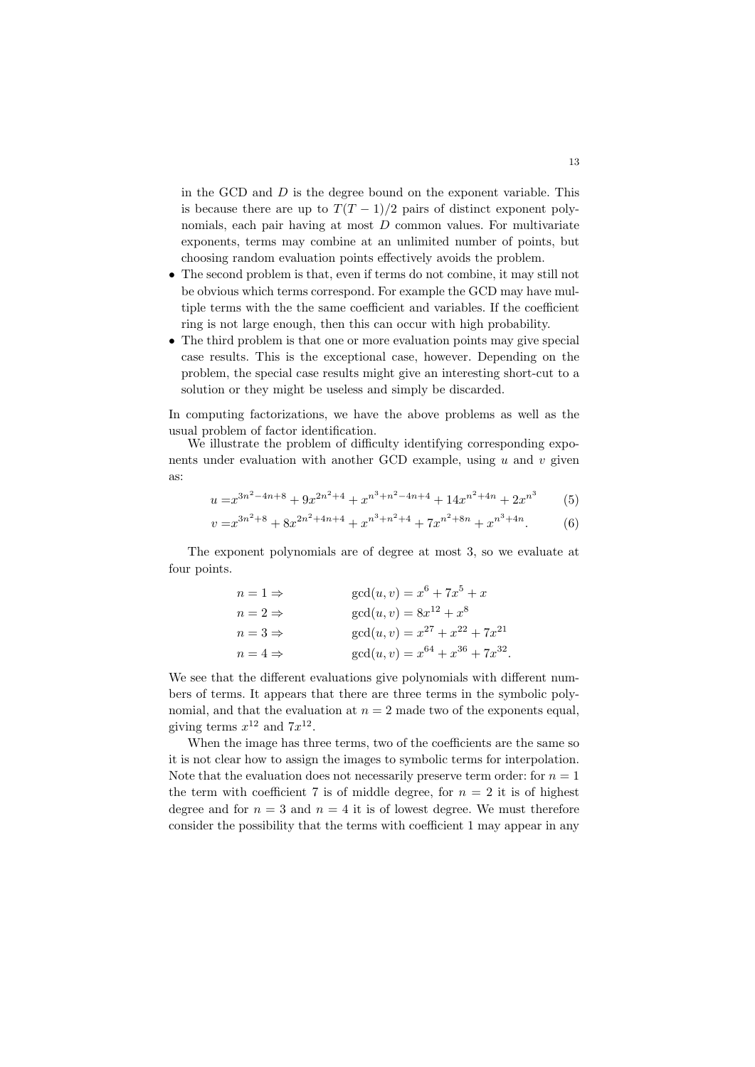in the GCD and  $D$  is the degree bound on the exponent variable. This is because there are up to  $T(T-1)/2$  pairs of distinct exponent polynomials, each pair having at most  $D$  common values. For multivariate exponents, terms may combine at an unlimited number of points, but choosing random evaluation points effectively avoids the problem.

- The second problem is that, even if terms do not combine, it may still not be obvious which terms correspond. For example the GCD may have multiple terms with the the same coefficient and variables. If the coefficient ring is not large enough, then this can occur with high probability.
- The third problem is that one or more evaluation points may give special case results. This is the exceptional case, however. Depending on the problem, the special case results might give an interesting short-cut to a solution or they might be useless and simply be discarded.

In computing factorizations, we have the above problems as well as the usual problem of factor identification.

We illustrate the problem of difficulty identifying corresponding exponents under evaluation with another GCD example, using  $u$  and  $v$  given as:

$$
u = x^{3n^2 - 4n + 8} + 9x^{2n^2 + 4} + x^{n^3 + n^2 - 4n + 4} + 14x^{n^2 + 4n} + 2x^{n^3}
$$
 (5)

$$
v = x^{3n^2 + 8} + 8x^{2n^2 + 4n + 4} + x^{n^3 + n^2 + 4} + 7x^{n^2 + 8n} + x^{n^3 + 4n}.
$$
 (6)

The exponent polynomials are of degree at most 3, so we evaluate at four points.

| $n=1 \Rightarrow$ | $gcd(u, v) = x^6 + 7x^5 + x$             |
|-------------------|------------------------------------------|
| $n=2 \Rightarrow$ | $gcd(u, v) = 8x^{12} + x^8$              |
| $n=3 \Rightarrow$ | $gcd(u, v) = x^{27} + x^{22} + 7x^{21}$  |
| $n=4 \Rightarrow$ | $gcd(u, v) = x^{64} + x^{36} + 7x^{32}.$ |

We see that the different evaluations give polynomials with different numbers of terms. It appears that there are three terms in the symbolic polynomial, and that the evaluation at  $n = 2$  made two of the exponents equal, giving terms  $x^{12}$  and  $7x^{12}$ .

When the image has three terms, two of the coefficients are the same so it is not clear how to assign the images to symbolic terms for interpolation. Note that the evaluation does not necessarily preserve term order: for  $n = 1$ the term with coefficient 7 is of middle degree, for  $n = 2$  it is of highest degree and for  $n = 3$  and  $n = 4$  it is of lowest degree. We must therefore consider the possibility that the terms with coefficient 1 may appear in any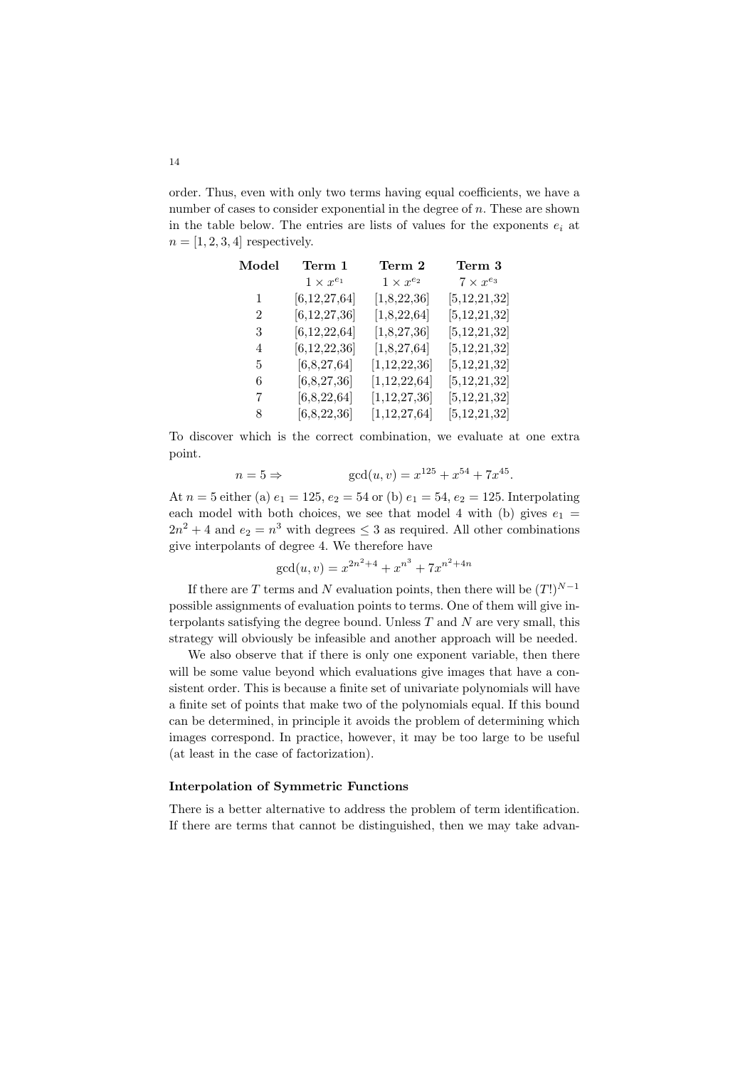order. Thus, even with only two terms having equal coefficients, we have a number of cases to consider exponential in the degree of n. These are shown in the table below. The entries are lists of values for the exponents  $e_i$  at  $n = \{1, 2, 3, 4\}$  respectively.

| $\bf{Model}$ | Term 1             | Term 2             | Term 3             |
|--------------|--------------------|--------------------|--------------------|
|              | $1 \times x^{e_1}$ | $1 \times x^{e_2}$ | $7 \times x^{e_3}$ |
| 1            | [6, 12, 27, 64]    | [1,8,22,36]        | [5, 12, 21, 32]    |
| 2            | [6, 12, 27, 36]    | [1,8,22,64]        | [5, 12, 21, 32]    |
| 3            | [6, 12, 22, 64]    | [1,8,27,36]        | [5, 12, 21, 32]    |
| 4            | [6, 12, 22, 36]    | [1,8,27,64]        | [5, 12, 21, 32]    |
| 5            | [6,8,27,64]        | [1, 12, 22, 36]    | [5, 12, 21, 32]    |
| 6            | [6,8,27,36]        | [1, 12, 22, 64]    | [5, 12, 21, 32]    |
| 7            | [6,8,22,64]        | [1, 12, 27, 36]    | [5, 12, 21, 32]    |
| 8            | [6,8,22,36]        | [1, 12, 27, 64]    | [5, 12, 21, 32]    |

To discover which is the correct combination, we evaluate at one extra point.

 $n = 5 \implies$  gcd $(u, v) = x^{125} + x^{54} + 7x^{45}$ .

At  $n = 5$  either (a)  $e_1 = 125$ ,  $e_2 = 54$  or (b)  $e_1 = 54$ ,  $e_2 = 125$ . Interpolating each model with both choices, we see that model 4 with (b) gives  $e_1$  =  $2n^2 + 4$  and  $e_2 = n^3$  with degrees  $\leq 3$  as required. All other combinations give interpolants of degree 4. We therefore have

$$
\gcd(u, v) = x^{2n^2 + 4} + x^{n^3} + 7x^{n^2 + 4n}
$$

If there are T terms and N evaluation points, then there will be  $(T!)^{N-1}$ possible assignments of evaluation points to terms. One of them will give interpolants satisfying the degree bound. Unless  $T$  and  $N$  are very small, this strategy will obviously be infeasible and another approach will be needed.

We also observe that if there is only one exponent variable, then there will be some value beyond which evaluations give images that have a consistent order. This is because a finite set of univariate polynomials will have a finite set of points that make two of the polynomials equal. If this bound can be determined, in principle it avoids the problem of determining which images correspond. In practice, however, it may be too large to be useful (at least in the case of factorization).

## Interpolation of Symmetric Functions

There is a better alternative to address the problem of term identification. If there are terms that cannot be distinguished, then we may take advan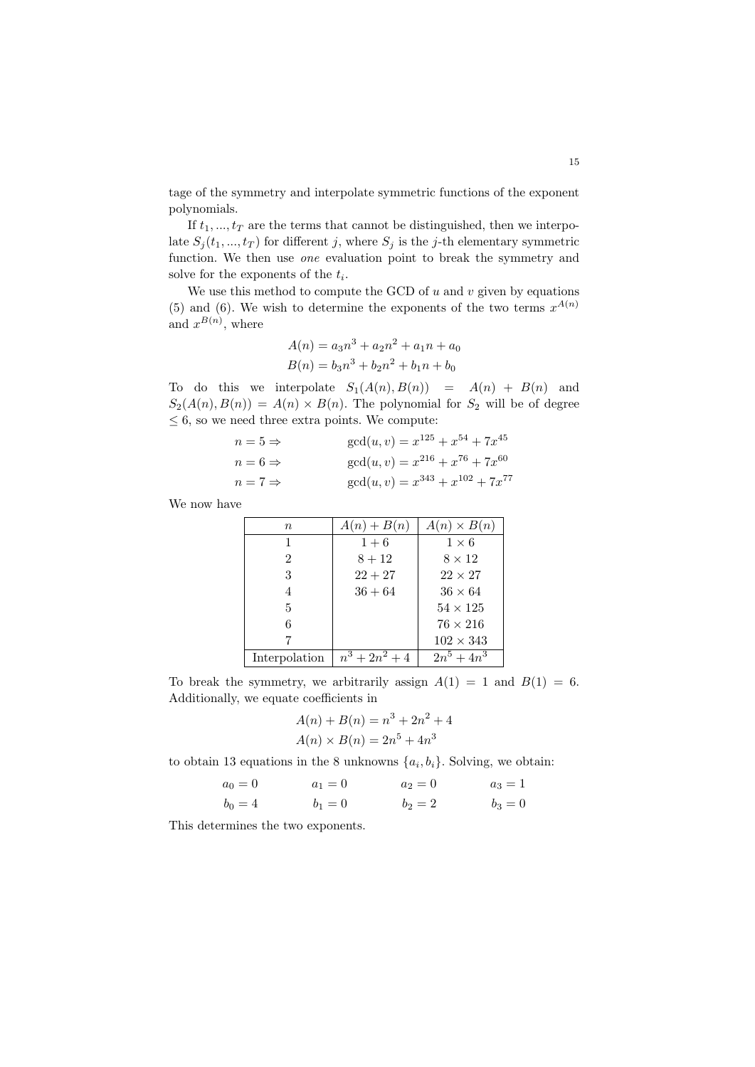tage of the symmetry and interpolate symmetric functions of the exponent polynomials.

If  $t_1, ..., t_T$  are the terms that cannot be distinguished, then we interpolate  $S_j(t_1, ..., t_T)$  for different j, where  $S_j$  is the j-th elementary symmetric function. We then use one evaluation point to break the symmetry and solve for the exponents of the  $t_i$ .

We use this method to compute the GCD of  $u$  and  $v$  given by equations (5) and (6). We wish to determine the exponents of the two terms  $x^{A(n)}$ and  $x^{B(n)}$ , where

$$
A(n) = a_3 n^3 + a_2 n^2 + a_1 n + a_0
$$
  

$$
B(n) = b_3 n^3 + b_2 n^2 + b_1 n + b_0
$$

To do this we interpolate  $S_1(A(n), B(n)) = A(n) + B(n)$  and  $S_2(A(n), B(n)) = A(n) \times B(n)$ . The polynomial for  $S_2$  will be of degree  $\leq$  6, so we need three extra points. We compute:

| $n=5 \Rightarrow$ | $gcd(u, v) = x^{125} + x^{54} + 7x^{45}$  |
|-------------------|-------------------------------------------|
| $n=6 \Rightarrow$ | $gcd(u, v) = x^{216} + x^{76} + 7x^{60}$  |
| $n=7 \Rightarrow$ | $gcd(u, v) = x^{343} + x^{102} + 7x^{77}$ |

We now have

| $n_{\rm c}$    | $A(n) + B(n)$    | $A(n) \times B(n)$ |
|----------------|------------------|--------------------|
| 1              | $1 + 6$          | $1 \times 6$       |
| $\mathfrak{D}$ | $8 + 12$         | $8 \times 12$      |
| 3              | $22 + 27$        | $22 \times 27$     |
|                | $36 + 64$        | $36 \times 64$     |
| 5              |                  | $54 \times 125$    |
| 6              |                  | $76 \times 216$    |
|                |                  | $102 \times 343$   |
| Interpolation  | $n^3 + 2n^2 + 4$ | $2n^5 + 4n^3$      |

To break the symmetry, we arbitrarily assign  $A(1) = 1$  and  $B(1) = 6$ . Additionally, we equate coefficients in

$$
A(n) + B(n) = n3 + 2n2 + 4
$$
  

$$
A(n) \times B(n) = 2n5 + 4n3
$$

to obtain 13 equations in the 8 unknowns  $\{a_i, b_i\}$ . Solving, we obtain:

$$
a_0 = 0
$$
  $a_1 = 0$   $a_2 = 0$   $a_3 = 1$   
 $b_0 = 4$   $b_1 = 0$   $b_2 = 2$   $b_3 = 0$ 

This determines the two exponents.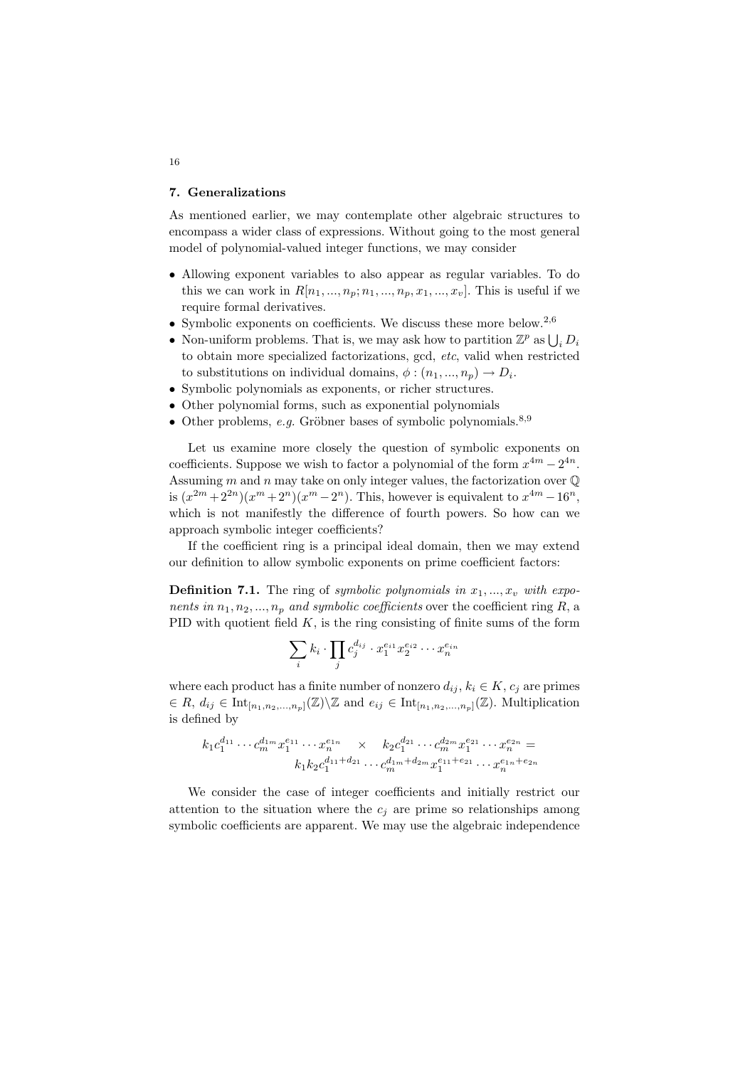#### 7. Generalizations

As mentioned earlier, we may contemplate other algebraic structures to encompass a wider class of expressions. Without going to the most general model of polynomial-valued integer functions, we may consider

- Allowing exponent variables to also appear as regular variables. To do this we can work in  $R[n_1, ..., n_p; n_1, ..., n_p, x_1, ..., x_v]$ . This is useful if we require formal derivatives.
- $\bullet$  Symbolic exponents on coefficients. We discuss these more below.  $^{2,6}$
- Non-uniform problems. That is, we may ask how to partition  $\mathbb{Z}^p$  as  $\bigcup_i D_i$ to obtain more specialized factorizations, gcd, etc, valid when restricted to substitutions on individual domains,  $\phi : (n_1, ..., n_p) \to D_i$ .
- Symbolic polynomials as exponents, or richer structures.
- Other polynomial forms, such as exponential polynomials
- Other problems, e.g. Gröbner bases of symbolic polynomials.<sup>8,9</sup>

Let us examine more closely the question of symbolic exponents on coefficients. Suppose we wish to factor a polynomial of the form  $x^{4m} - 2^{4n}$ . Assuming m and n may take on only integer values, the factorization over  $\mathbb{Q}$ is  $(x^{2m}+2^{2n})(x^m+2^n)(x^m-2^n)$ . This, however is equivalent to  $x^{4m}-16^n$ , which is not manifestly the difference of fourth powers. So how can we approach symbolic integer coefficients?

If the coefficient ring is a principal ideal domain, then we may extend our definition to allow symbolic exponents on prime coefficient factors:

**Definition 7.1.** The ring of symbolic polynomials in  $x_1, ..., x_v$  with exponents in  $n_1, n_2, ..., n_p$  and symbolic coefficients over the coefficient ring R, a PID with quotient field  $K$ , is the ring consisting of finite sums of the form

$$
\sum_i k_i \cdot \prod_j c_j^{d_{ij}} \cdot x_1^{e_{i1}} x_2^{e_{i2}} \cdots x_n^{e_{in}}
$$

where each product has a finite number of nonzero  $d_{ij}$ ,  $k_i \in K$ ,  $c_j$  are primes  $\in R$ ,  $d_{ij} \in \text{Int}_{[n_1,n_2,...,n_p]}(\mathbb{Z})\backslash \mathbb{Z}$  and  $e_{ij} \in \text{Int}_{[n_1,n_2,...,n_p]}(\mathbb{Z})$ . Multiplication is defined by

$$
k_1 c_1^{d_{11}} \cdots c_m^{d_{1m}} x_1^{e_{11}} \cdots x_n^{e_{1n}} \times k_2 c_1^{d_{21}} \cdots c_m^{d_{2m}} x_1^{e_{21}} \cdots x_n^{e_{2n}} =
$$
  

$$
k_1 k_2 c_1^{d_{11} + d_{21}} \cdots c_m^{d_{1m} + d_{2m}} x_1^{e_{11} + e_{21}} \cdots x_n^{e_{1n} + e_{2n}}
$$

We consider the case of integer coefficients and initially restrict our attention to the situation where the  $c_j$  are prime so relationships among symbolic coefficients are apparent. We may use the algebraic independence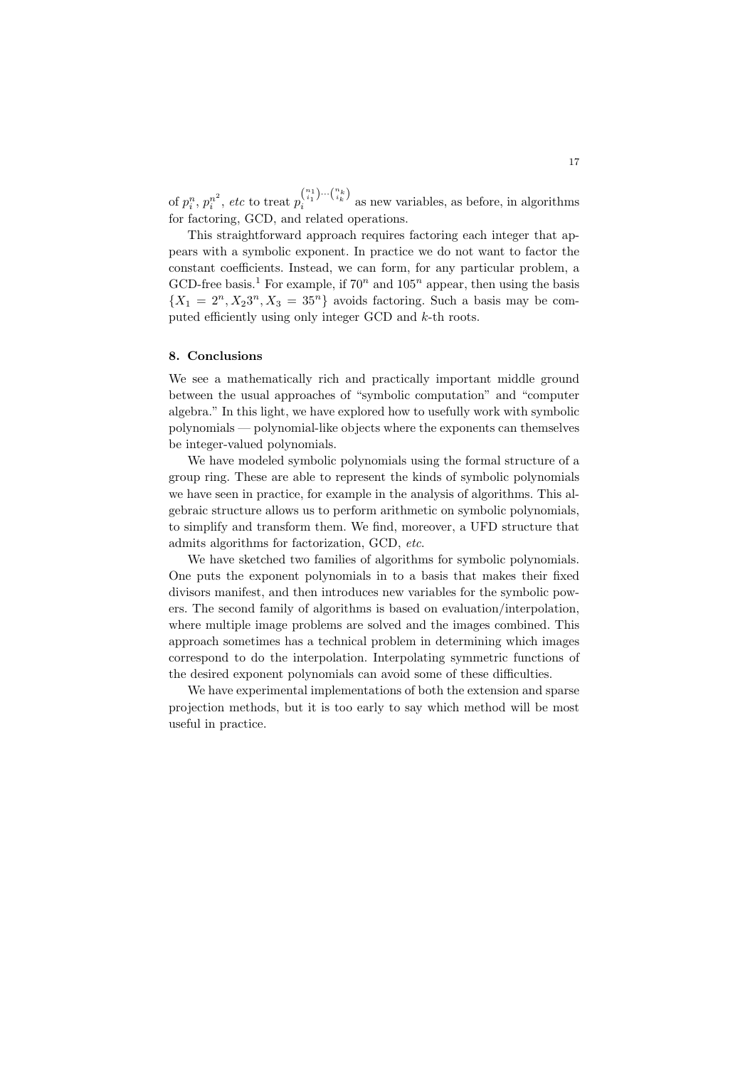of  $p_i^n, p_i^{n^2}$ , etc to treat  $p_i^{(n_1)\cdots(n_k)}$  $\sum_{i=1}^{n}$   $\binom{n}{i}$  as new variables, as before, in algorithms for factoring, GCD, and related operations.

This straightforward approach requires factoring each integer that appears with a symbolic exponent. In practice we do not want to factor the constant coefficients. Instead, we can form, for any particular problem, a GCD-free basis.<sup>1</sup> For example, if  $70^n$  and  $105^n$  appear, then using the basis  ${X_1 = 2^n, X_2 3^n, X_3 = 35^n}$  avoids factoring. Such a basis may be computed efficiently using only integer GCD and k-th roots.

### 8. Conclusions

We see a mathematically rich and practically important middle ground between the usual approaches of "symbolic computation" and "computer algebra." In this light, we have explored how to usefully work with symbolic polynomials — polynomial-like objects where the exponents can themselves be integer-valued polynomials.

We have modeled symbolic polynomials using the formal structure of a group ring. These are able to represent the kinds of symbolic polynomials we have seen in practice, for example in the analysis of algorithms. This algebraic structure allows us to perform arithmetic on symbolic polynomials, to simplify and transform them. We find, moreover, a UFD structure that admits algorithms for factorization, GCD, etc.

We have sketched two families of algorithms for symbolic polynomials. One puts the exponent polynomials in to a basis that makes their fixed divisors manifest, and then introduces new variables for the symbolic powers. The second family of algorithms is based on evaluation/interpolation, where multiple image problems are solved and the images combined. This approach sometimes has a technical problem in determining which images correspond to do the interpolation. Interpolating symmetric functions of the desired exponent polynomials can avoid some of these difficulties.

We have experimental implementations of both the extension and sparse projection methods, but it is too early to say which method will be most useful in practice.